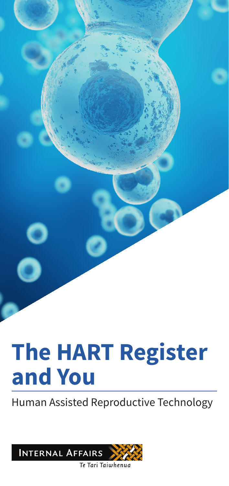# **The HART Register and You**

Human Assisted Reproductive Technology

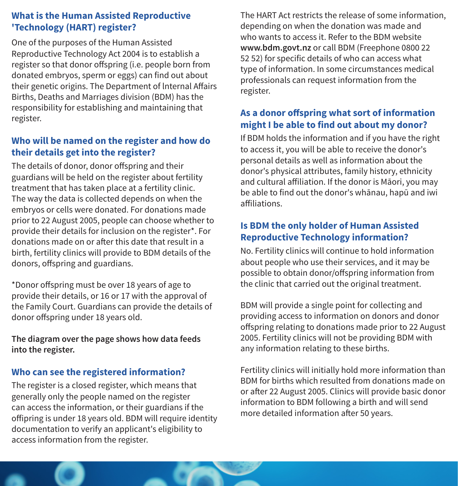#### **What is the Human Assisted Reproductive 'Technology (HART) register?**

One of the purposes of the Human Assisted Reproductive Technology Act 2004 is to establish a register so that donor offspring (i.e. people born from donated embryos, sperm or eggs) can find out about their genetic origins. The Department of lnternal Affairs Births, Deaths and Marriages division (BDM) has the responsibility for establishing and maintaining that register.

#### **Who will be named on the register and how do their details get into the register?**

The details of donor, donor offspring and their guardians will be held on the register about fertility treatment that has taken place at a fertility clinic. The way the data is collected depends on when the embryos or cells were donated. For donations made prior to 22 August 2005, people can choose whether to provide their details for inclusion on the register\*. For donations made on or after this date that result in a birth, fertility clinics will provide to BDM details of the donors, offspring and guardians.

\*Donor offspring must be over 18 years of age to provide their details, or 16 or 17 with the approval of the Family Court. Guardians can provide the details of donor offspring under 18 years old.

**The diagram over the page shows how data feeds into the register.**

#### **Who can see the registered information?**

The register is a closed register, which means that generally only the people named on the register can access the information, or their guardians if the offipring is under 18 years old. BDM will require identity documentation to verify an applicant's eligibility to access information from the register.

The HART Act restricts the release of some information, depending on when the donation was made and who wants to access it. Refer to the BDM website **www.bdm.govt.nz** or call BDM (Freephone 0800 22 52 52) for specific details of who can access what type of information. In some circumstances medical professionals can request information from the register.

#### **As a donor offspring what sort of information might I be able to find out about my donor?**

If BDM holds the information and if you have the right to access it, you will be able to receive the donor's personal details as well as information about the donor's physical attributes, family history, ethnicity and cultural affiliation. If the donor is Māori, you may be able to find out the donor's whānau, hapū and iwi affiliations.

#### **Is BDM the only holder of Human Assisted Reproductive Technology information?**

No. Fertility clinics will continue to hold information about people who use their services, and it may be possible to obtain donor/offspring information from the clinic that carried out the original treatment.

BDM will provide a single point for collecting and providing access to information on donors and donor offspring relating to donations made prior to 22 August 2005. Fertility clinics will not be providing BDM with any information relating to these births.

Fertility clinics will initially hold more information than BDM for births which resulted from donations made on or after 22 August 2005. Clinics will provide basic donor information to BDM following a birth and will send more detailed information after 50 years.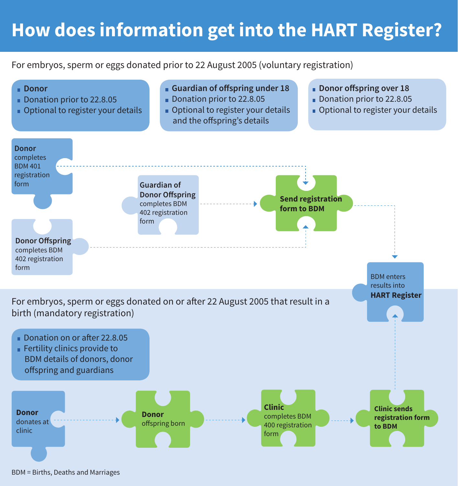# **How does information get into the HART Register?**

For embryos, sperm or eggs donated prior to 22 August 2005 (voluntary registration)



BDM = Births, Deaths and Marriages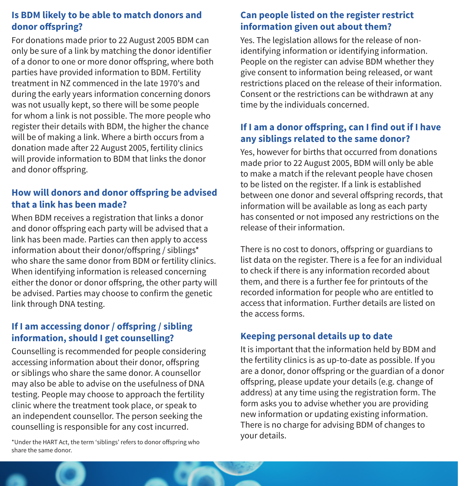#### **Is BDM likely to be able to match donors and donor offspring?**

For donations made prior to 22 August 2005 BDM can only be sure of a link by matching the donor identifier of a donor to one or more donor offspring, where both parties have provided information to BDM. Fertility treatment in NZ commenced in the late 1970's and during the early years information concerning donors was not usually kept, so there will be some people for whom a link is not possible. The more people who register their details with BDM, the higher the chance will be of making a link. Where a birth occurs from a donation made after 22 August 2005, fertility clinics will provide information to BDM that links the donor and donor offspring.

#### **How will donors and donor offspring be advised that a link has been made?**

When BDM receives a registration that links a donor and donor offspring each party will be advised that a link has been made. Parties can then apply to access information about their donor/offspring / siblings\* who share the same donor from BDM or fertility clinics. When identifying information is released concerning either the donor or donor offspring, the other party will be advised. Parties may choose to confirm the genetic link through DNA testing.

#### **If I am accessing donor / offspring / sibling information, should I get counselling?**

Counselling is recommended for people considering accessing information about their donor, offspring or siblings who share the same donor. A counsellor may also be able to advise on the usefulness of DNA testing. People may choose to approach the fertility clinic where the treatment took place, or speak to an independent counsellor. The person seeking the counselling is responsible for any cost incurred.

your details. \*Under the HART Act, the term 'siblings' refers to donor offspring who share the same donor.

#### **Can people listed on the register restrict information given out about them?**

Yes. The legislation allows for the release of nonidentifying information or identifying information. People on the register can advise BDM whether they give consent to information being released, or want restrictions placed on the release of their information. Consent or the restrictions can be withdrawn at any time by the individuals concerned.

#### **If I am a donor offspring, can I find out if I have any siblings related to the same donor?**

Yes, however for births that occurred from donations made prior to 22 August 2005, BDM will only be able to make a match if the relevant people have chosen to be listed on the register. If a link is established between one donor and several offspring records, that information will be available as long as each party has consented or not imposed any restrictions on the release of their information.

There is no cost to donors, offspring or guardians to list data on the register. There is a fee for an individual to check if there is any information recorded about them, and there is a further fee for printouts of the recorded information for people who are entitled to access that information. Further details are listed on the access forms.

#### **Keeping personal details up to date**

It is important that the information held by BDM and the fertility clinics is as up-to-date as possible. If you are a donor, donor offspring or the guardian of a donor offspring, please update your details (e.g. change of address) at any time using the registration form. The form asks you to advise whether you are providing new information or updating existing information. There is no charge for advising BDM of changes to